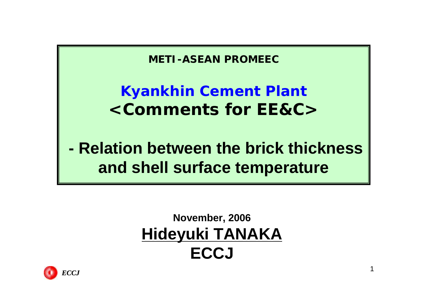**METI-ASEAN PROMEEC**

### **Kyankhin Cement Plant <Comments for EE&C>**

# **- Relation between the brick thickness and shell surface temperature**

#### **November, 2006 Hideyuki TANAKA ECCJ**

1

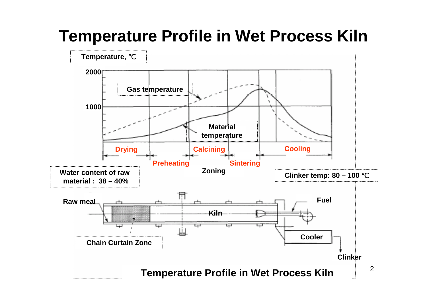# **Temperature Profile in Wet Process Kiln**

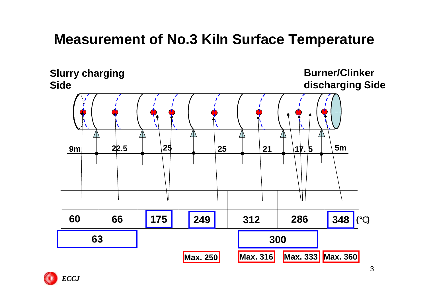#### **Measurement of No.3 Kiln Surface Temperature**



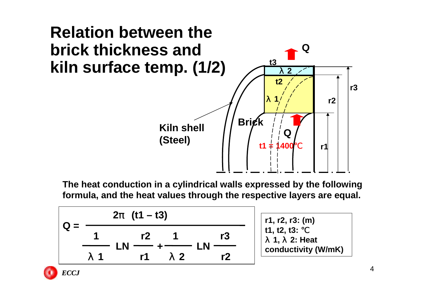

**The heat conduction in a cylindrical walls expressed by the following formula, and the heat values through the respective layers are equal.** 

$$
Q = \frac{2 \quad (t1 - t3)}{1 \quad r2 \quad 1 \quad r3 \quad \text{LN} \frac{r3}{r1 \quad 2} \quad \text{LN} \frac{r3}{r2 \quad 1 \quad \text{Conductivity (W/mK)}
$$



4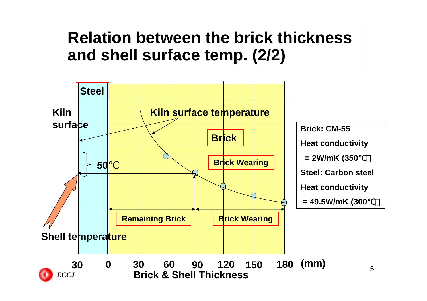### **Relation between the brick thickness and shell surface temp. (2/2)**